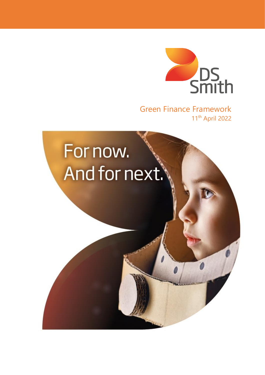

Green Finance Framework 11th April 2022

# For now. And for next.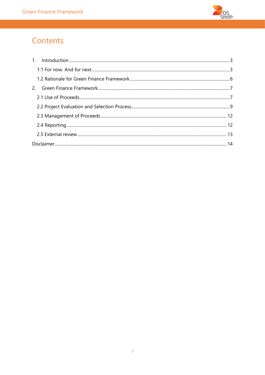

# Contents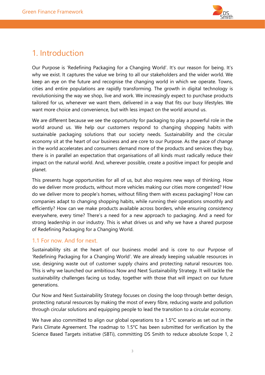

# <span id="page-2-0"></span>1. Introduction

Our Purpose is 'Redefining Packaging for a Changing World'. It's our reason for being. It's why we exist. It captures the value we bring to all our stakeholders and the wider world. We keep an eye on the future and recognise the changing world in which we operate. Towns, cities and entire populations are rapidly transforming. The growth in digital technology is revolutionising the way we shop, live and work. We increasingly expect to purchase products tailored for us, whenever we want them, delivered in a way that fits our busy lifestyles. We want more choice and convenience, but with less impact on the world around us.

We are different because we see the opportunity for packaging to play a powerful role in the world around us. We help our customers respond to changing shopping habits with sustainable packaging solutions that our society needs. Sustainability and the circular economy sit at the heart of our business and are core to our Purpose. As the pace of change in the world accelerates and consumers demand more of the products and services they buy, there is in parallel an expectation that organisations of all kinds must radically reduce their impact on the natural world. And, wherever possible, create a positive impact for people and planet.

This presents huge opportunities for all of us, but also requires new ways of thinking. How do we deliver more products, without more vehicles making our cities more congested? How do we deliver more to people's homes, without filling them with excess packaging? How can companies adapt to changing shopping habits, while running their operations smoothly and efficiently? How can we make products available across borders, while ensuring consistency everywhere, every time? There's a need for a new approach to packaging. And a need for strong leadership in our industry. This is what drives us and why we have a shared purpose of Redefining Packaging for a Changing World.

### <span id="page-2-1"></span>1.1 For now. And for next.

Sustainability sits at the heart of our business model and is core to our Purpose of 'Redefining Packaging for a Changing World'. We are already keeping valuable resources in use, designing waste out of customer supply chains and protecting natural resources too. This is why we launched our ambitious Now and Next Sustainability Strategy. It will tackle the sustainability challenges facing us today, together with those that will impact on our future generations.

Our Now and Next Sustainability Strategy focuses on closing the loop through better design, protecting natural resources by making the most of every fibre, reducing waste and pollution through circular solutions and equipping people to lead the transition to a circular economy.

We have also committed to align our global operations to a 1.5°C scenario as set out in the Paris Climate Agreement. The roadmap to 1.5°C has been submitted for verification by the Science Based Targets initiative (SBTi), committing DS Smith to reduce absolute Scope 1, 2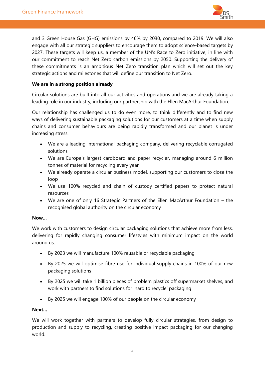

and 3 Green House Gas (GHG) emissions by 46% by 2030, compared to 2019. We will also engage with all our strategic suppliers to encourage them to adopt science-based targets by 2027. These targets will keep us, a member of the UN's Race to Zero initiative, in line with our commitment to reach Net Zero carbon emissions by 2050. Supporting the delivery of these commitments is an ambitious Net Zero transition plan which will set out the key strategic actions and milestones that will define our transition to Net Zero.

#### **We are in a strong position already**

Circular solutions are built into all our activities and operations and we are already taking a leading role in our industry, including our partnership with the Ellen MacArthur Foundation.

Our relationship has challenged us to do even more, to think differently and to find new ways of delivering sustainable packaging solutions for our customers at a time when supply chains and consumer behaviours are being rapidly transformed and our planet is under increasing stress.

- We are a leading international packaging company, delivering recyclable corrugated solutions
- We are Europe's largest cardboard and paper recycler, managing around 6 million tonnes of material for recycling every year
- We already operate a circular business model, supporting our customers to close the loop
- We use 100% recycled and chain of custody certified papers to protect natural resources
- We are one of only 16 Strategic Partners of the Ellen MacArthur Foundation the recognised global authority on the circular economy

#### **Now...**

We work with customers to design circular packaging solutions that achieve more from less, delivering for rapidly changing consumer lifestyles with minimum impact on the world around us.

- By 2023 we will manufacture 100% reusable or recyclable packaging
- By 2025 we will optimise fibre use for individual supply chains in 100% of our new packaging solutions
- By 2025 we will take 1 billion pieces of problem plastics off supermarket shelves, and work with partners to find solutions for 'hard to recycle' packaging
- By 2025 we will engage 100% of our people on the circular economy

#### **Next...**

We will work together with partners to develop fully circular strategies, from design to production and supply to recycling, creating positive impact packaging for our changing world.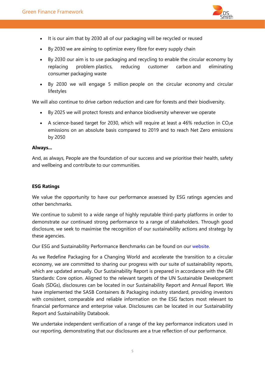

- It is our aim that by 2030 all of our packaging will be recycled or reused
- By 2030 we are aiming to optimize every fibre for every supply chain
- By 2030 our aim is to use packaging and recycling to enable the circular economy by replacing problem plastics, reducing customer carbon and eliminating consumer packaging waste
- By 2030 we will engage 5 million people on the circular economy and circular lifestyles

We will also continue to drive carbon reduction and care for forests and their biodiversity.

- By 2025 we will protect forests and enhance biodiversity wherever we operate
- A science-based target for 2030, which will require at least a 46% reduction in  $CO<sub>2</sub>e$ emissions on an absolute basis compared to 2019 and to reach Net Zero emissions by 2050

#### **Always...**

And, as always, People are the foundation of our success and we prioritise their health, safety and wellbeing and contribute to our communities.

#### **ESG Ratings**

We value the opportunity to have our performance assessed by ESG ratings agencies and other benchmarks.

We continue to submit to a wide range of highly reputable third-party platforms in order to demonstrate our continued strong performance to a range of stakeholders. Through good disclosure, we seek to maximise the recognition of our sustainability actions and strategy by these agencies.

Our ESG and Sustainability Performance Benchmarks can be found on our [website.](https://www.dssmith.com/sustainability/reporting-hub/our-external-recognitions)

As we Redefine Packaging for a Changing World and accelerate the transition to a circular economy, we are committed to sharing our progress with our suite of sustainability reports, which are updated annually. Our Sustainability Report is prepared in accordance with the GRI Standards: Core option. Aligned to the relevant targets of the UN Sustainable Development Goals (SDGs), disclosures can be located in our Sustainability Report and Annual Report. We have implemented the SASB Containers & Packaging industry standard, providing investors with consistent, comparable and reliable information on the ESG factors most relevant to financial performance and enterprise value. Disclosures can be located in our Sustainability Report and Sustainability Databook.

We undertake independent verification of a range of the key performance indicators used in our reporting, demonstrating that our disclosures are a true reflection of our performance.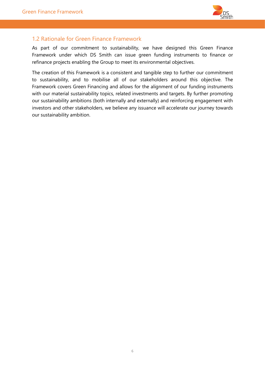

# <span id="page-5-0"></span>1.2 Rationale for Green Finance Framework

As part of our commitment to sustainability, we have designed this Green Finance Framework under which DS Smith can issue green funding instruments to finance or refinance projects enabling the Group to meet its environmental objectives.

The creation of this Framework is a consistent and tangible step to further our commitment to sustainability, and to mobilise all of our stakeholders around this objective. The Framework covers Green Financing and allows for the alignment of our funding instruments with our material sustainability topics, related investments and targets. By further promoting our sustainability ambitions (both internally and externally) and reinforcing engagement with investors and other stakeholders, we believe any issuance will accelerate our journey towards our sustainability ambition.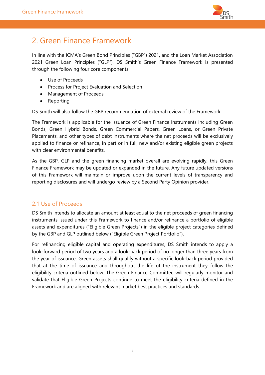

# <span id="page-6-0"></span>2. Green Finance Framework

In line with the ICMA's Green Bond Principles ("GBP") 2021, and the Loan Market Association 2021 Green Loan Principles ("GLP"), DS Smith's Green Finance Framework is presented through the following four core components:

- Use of Proceeds
- Process for Project Evaluation and Selection
- Management of Proceeds
- Reporting

DS Smith will also follow the GBP recommendation of external review of the Framework.

The Framework is applicable for the issuance of Green Finance Instruments including Green Bonds, Green Hybrid Bonds, Green Commercial Papers, Green Loans, or Green Private Placements, and other types of debt instruments where the net proceeds will be exclusively applied to finance or refinance, in part or in full, new and/or existing eligible green projects with clear environmental benefits.

As the GBP, GLP and the green financing market overall are evolving rapidly, this Green Finance Framework may be updated or expanded in the future. Any future updated versions of this Framework will maintain or improve upon the current levels of transparency and reporting disclosures and will undergo review by a Second Party Opinion provider.

## <span id="page-6-1"></span>2.1 Use of Proceeds

DS Smith intends to allocate an amount at least equal to the net proceeds of green financing instruments issued under this Framework to finance and/or refinance a portfolio of eligible assets and expenditures ("Eligible Green Projects") in the eligible project categories defined by the GBP and GLP outlined below ("Eligible Green Project Portfolio").

For refinancing eligible capital and operating expenditures, DS Smith intends to apply a look-forward period of two years and a look-back period of no longer than three years from the year of issuance. Green assets shall qualify without a specific look-back period provided that at the time of issuance and throughout the life of the instrument they follow the eligibility criteria outlined below. The Green Finance Committee will regularly monitor and validate that Eligible Green Projects continue to meet the eligibility criteria defined in the Framework and are aligned with relevant market best practices and standards.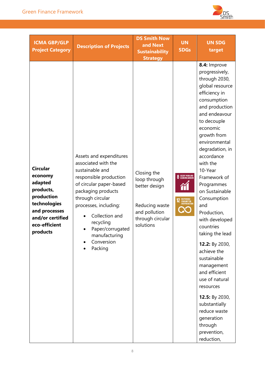

| <b>ICMA GBP/GLP</b><br><b>Project Category</b>                                                                                                     | <b>Description of Projects</b>                                                                                                                                                                                                                                                         | <b>DS Smith Now</b><br>and Next<br><b>Sustainability</b><br><b>Strategy</b>                                      | <b>UN</b><br><b>SDGs</b>                                                 | <b>UN SDG</b><br>target                                                                                                                                                                                                                                                                                                                                                                                                                                                                                                                                                                                                |
|----------------------------------------------------------------------------------------------------------------------------------------------------|----------------------------------------------------------------------------------------------------------------------------------------------------------------------------------------------------------------------------------------------------------------------------------------|------------------------------------------------------------------------------------------------------------------|--------------------------------------------------------------------------|------------------------------------------------------------------------------------------------------------------------------------------------------------------------------------------------------------------------------------------------------------------------------------------------------------------------------------------------------------------------------------------------------------------------------------------------------------------------------------------------------------------------------------------------------------------------------------------------------------------------|
| <b>Circular</b><br>economy<br>adapted<br>products,<br>production<br>technologies<br>and processes<br>and/or certified<br>eco-efficient<br>products | Assets and expenditures<br>associated with the<br>sustainable and<br>responsible production<br>of circular paper-based<br>packaging products<br>through circular<br>processes, including:<br>Collection and<br>recycling<br>Paper/corrugated<br>manufacturing<br>Conversion<br>Packing | Closing the<br>loop through<br>better design<br>Reducing waste<br>and pollution<br>through circular<br>solutions | <b>8</b> DECENT WORK AND<br>RESPONSIBLE<br>Consumption<br>And Production | 8.4: Improve<br>progressively,<br>through 2030,<br>global resource<br>efficiency in<br>consumption<br>and production<br>and endeavour<br>to decouple<br>economic<br>growth from<br>environmental<br>degradation, in<br>accordance<br>with the<br>10-Year<br>Framework of<br>Programmes<br>on Sustainable<br>Consumption<br>and<br>Production,<br>with developed<br>countries<br>taking the lead<br>12.2: By 2030,<br>achieve the<br>sustainable<br>management<br>and efficient<br>use of natural<br>resources<br>12.5: By 2030,<br>substantially<br>reduce waste<br>generation<br>through<br>prevention,<br>reduction, |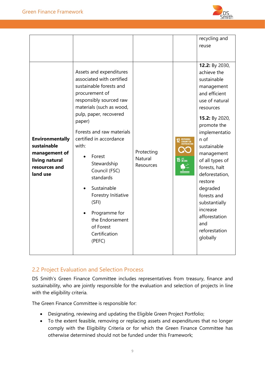

|                                                                                                       | Assets and expenditures<br>associated with certified<br>sustainable forests and<br>procurement of<br>responsibly sourced raw<br>materials (such as wood,                                                                                                  |                                                                                                                    | recycling and<br>reuse<br>12.2: By 2030,<br>achieve the<br>sustainable<br>management<br>and efficient<br>use of natural<br>resources                                                                                                                              |
|-------------------------------------------------------------------------------------------------------|-----------------------------------------------------------------------------------------------------------------------------------------------------------------------------------------------------------------------------------------------------------|--------------------------------------------------------------------------------------------------------------------|-------------------------------------------------------------------------------------------------------------------------------------------------------------------------------------------------------------------------------------------------------------------|
| <b>Environmentally</b><br>sustainable<br>management of<br>living natural<br>resources and<br>land use | paper)<br>Forests and raw materials<br>certified in accordance<br>with:<br>Forest<br>Stewardship<br>Council (FSC)<br>standards<br>Sustainable<br>Forestry Initiative<br>(SFI)<br>Programme for<br>the Endorsement<br>of Forest<br>Certification<br>(PEFC) | <b>2</b> RESPONSIBLE<br>CONSUMPTION<br>AND PRODUCTION<br>Protecting<br><b>Natural</b><br>$15$ ON LAND<br>Resources | 15.2: By 2020,<br>promote the<br>implementatio<br>n of<br>sustainable<br>management<br>of all types of<br>forests, halt<br>deforestation,<br>restore<br>degraded<br>forests and<br>substantially<br>increase<br>afforestation<br>and<br>reforestation<br>globally |

# <span id="page-8-0"></span>2.2 Project Evaluation and Selection Process

DS Smith's Green Finance Committee includes representatives from treasury, finance and sustainability, who are jointly responsible for the evaluation and selection of projects in line with the eligibility criteria.

The Green Finance Committee is responsible for:

- Designating, reviewing and updating the Eligible Green Project Portfolio;
- To the extent feasible, removing or replacing assets and expenditures that no longer comply with the Eligibility Criteria or for which the Green Finance Committee has otherwise determined should not be funded under this Framework;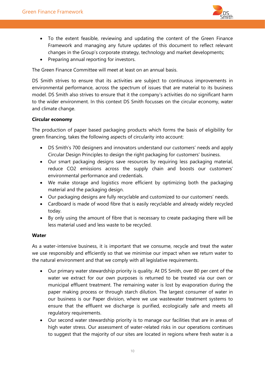

- To the extent feasible, reviewing and updating the content of the Green Finance Framework and managing any future updates of this document to reflect relevant changes in the Group's corporate strategy, technology and market developments;
- Preparing annual reporting for investors.

The Green Finance Committee will meet at least on an annual basis.

DS Smith strives to ensure that its activities are subject to continuous improvements in environmental performance, across the spectrum of issues that are material to its business model. DS Smith also strives to ensure that it the company's activities do no significant harm to the wider environment. In this context DS Smith focusses on the circular economy, water and climate change.

#### **Circular economy**

The production of paper based packaging products which forms the basis of eligibility for green financing, takes the following aspects of circularity into account:

- DS Smith's 700 designers and innovators understand our customers' needs and apply Circular Design Principles to design the right packaging for customers' business.
- Our smart packaging designs save resources by requiring less packaging material, reduce CO2 emissions across the supply chain and boosts our customers' environmental performance and credentials.
- We make storage and logistics more efficient by optimizing both the packaging material and the packaging design.
- Our packaging designs are fully recyclable and customized to our customers' needs.
- Cardboard is made of wood fibre that is easily recyclable and already widely recycled today.
- By only using the amount of fibre that is necessary to create packaging there will be less material used and less waste to be recycled.

#### **Water**

As a water-intensive business, it is important that we consume, recycle and treat the water we use responsibly and efficiently so that we minimise our impact when we return water to the natural environment and that we comply with all legislative requirements.

- Our primary water stewardship priority is quality. At DS Smith, over 80 per cent of the water we extract for our own purposes is returned to be treated via our own or municipal effluent treatment. The remaining water is lost by evaporation during the paper making process or through starch dilution. The largest consumer of water in our business is our Paper division, where we use wastewater treatment systems to ensure that the effluent we discharge is purified, ecologically safe and meets all regulatory requirements.
- Our second water stewardship priority is to manage our facilities that are in areas of high water stress. Our assessment of water-related risks in our operations continues to suggest that the majority of our sites are located in regions where fresh water is a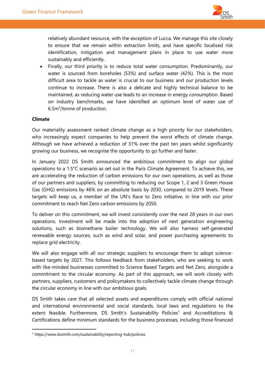

relatively abundant resource, with the exception of Lucca. We manage this site closely to ensure that we remain within extraction limits, and have specific localised risk identification, mitigation and management plans in place to use water more sustainably and efficiently.

• Finally, our third priority is to reduce total water consumption. Predominantly, our water is sourced from boreholes (53%) and surface water (42%). This is the most difficult area to tackle as water is crucial to our business and our production levels continue to increase. There is also a delicate and highly technical balance to be maintained, as reducing water use leads to an increase in energy consumption. Based on industry benchmarks, we have identified an optimum level of water use of 6.5m<sup>3</sup>/tonne of production.

#### **Climate**

Our materiality assessment ranked climate change as a high priority for our stakeholders, who increasingly expect companies to help prevent the worst effects of climate change. Although we have achieved a reduction of 31% over the past ten years whilst significantly growing our business, we recognise the opportunity to go further and faster.

In January 2022 DS Smith announced the ambitious commitment to align our global operations to a 1.5°C scenario as set out in the Paris Climate Agreement. To achieve this, we are accelerating the reduction of carbon emissions for our own operations, as well as those of our partners and suppliers, by committing to reducing our Scope 1, 2 and 3 Green House Gas (GHG) emissions by 46% on an absolute basis by 2030, compared to 2019 levels. These targets will keep us, a member of the UN's Race to Zero initiative, in line with our prior commitment to reach Net Zero carbon emissions by 2050.

To deliver on this commitment, we will invest consistently over the next 28 years in our own operations. Investment will be made into the adoption of next generation engineering solutions, such as biomethane boiler technology. We will also harness self-generated renewable energy sources, such as wind and solar, and power purchasing agreements to replace grid electricity.

We will also engage with all our strategic suppliers to encourage them to adopt sciencebased targets by 2027. This follows feedback from stakeholders, who are seeking to work with like-minded businesses committed to Science Based Targets and Net Zero, alongside a commitment to the circular economy. As part of this approach, we will work closely with partners, suppliers, customers and policymakers to collectively tackle climate change through the circular economy in line with our ambitious goals.

DS Smith takes care that all selected assets and expenditures comply with official national and international environmental and social standards, local laws and regulations to the extent feasible. Furthermore, DS Smith's Sustainability Policies<sup>1</sup> and Accreditations & Certifications define minimum standards for the business processes, including those financed

<sup>1</sup> <https://www.dssmith.com/sustainability/reporting-hub/policies>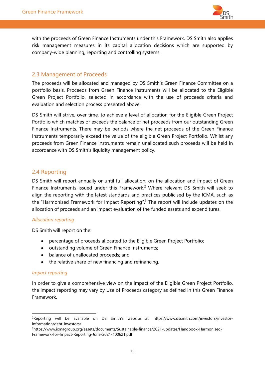

with the proceeds of Green Finance Instruments under this Framework. DS Smith also applies risk management measures in its capital allocation decisions which are supported by company-wide planning, reporting and controlling systems.

## <span id="page-11-0"></span>2.3 Management of Proceeds

The proceeds will be allocated and managed by DS Smith's Green Finance Committee on a portfolio basis. Proceeds from Green Finance instruments will be allocated to the Eligible Green Project Portfolio, selected in accordance with the use of proceeds criteria and evaluation and selection process presented above.

DS Smith will strive, over time, to achieve a level of allocation for the Eligible Green Project Portfolio which matches or exceeds the balance of net proceeds from our outstanding Green Finance Instruments. There may be periods where the net proceeds of the Green Finance Instruments temporarily exceed the value of the eligible Green Project Portfolio. Whilst any proceeds from Green Finance Instruments remain unallocated such proceeds will be held in accordance with DS Smith's liquidity management policy.

## <span id="page-11-1"></span>2.4 Reporting

DS Smith will report annually or until full allocation, on the allocation and impact of Green Finance Instruments issued under this Framework.<sup>2</sup> Where relevant DS Smith will seek to align the reporting with the latest standards and practices publicised by the ICMA, such as the "Harmonised Framework for Impact Reporting".<sup>3</sup> The report will include updates on the allocation of proceeds and an impact evaluation of the funded assets and expenditures.

#### *Allocation reporting*

DS Smith will report on the:

- percentage of proceeds allocated to the Eligible Green Project Portfolio;
- outstanding volume of Green Finance Instruments;
- balance of unallocated proceeds; and
- the relative share of new financing and refinancing.

#### *Impact reporting*

In order to give a comprehensive view on the impact of the Eligible Green Project Portfolio, the impact reporting may vary by Use of Proceeds category as defined in this Green Finance Framework.

<sup>2</sup>Reporting will be available on DS Smith's website at: https://www.dssmith.com/investors/investorinformation/debt-investors/

<sup>3</sup>[https://www.icmagroup.org/assets/documents/Sustainable-finance/2021-updates/Handbook-Harmonised-](https://www.icmagroup.org/assets/documents/Sustainable-finance/2021-updates/Handbook-Harmonised-Framework-for-Impact-Reporting-June-2021-100621.pdf)[Framework-for-Impact-Reporting-June-2021-100621.pdf](https://www.icmagroup.org/assets/documents/Sustainable-finance/2021-updates/Handbook-Harmonised-Framework-for-Impact-Reporting-June-2021-100621.pdf)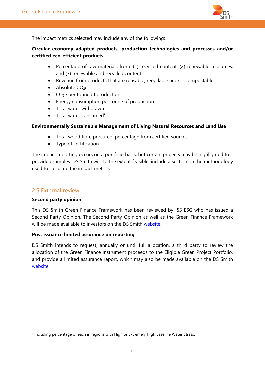

The impact metrics selected may include any of the following:

#### **Circular economy adapted products, production technologies and processes and/or certified eco-efficient products**

- Percentage of raw materials from: (1) recycled content, (2) renewable resources, and (3) renewable and recycled content
- Revenue from products that are reusable, recyclable and/or compostable
- $\bullet$  Absolute CO<sub>2</sub>e
- $\bullet$  CO<sub>2</sub>e per tonne of production
- Energy consumption per tonne of production
- Total water withdrawn
- Total water consumed $4$

#### **Environmentally Sustainable Management of Living Natural Resources and Land Use**

- Total wood fibre procured, percentage from certified sources
- Type of certification

The impact reporting occurs on a portfolio basis, but certain projects may be highlighted to provide examples. DS Smith will, to the extent feasible, include a section on the methodology used to calculate the impact metrics.

## <span id="page-12-0"></span>2.5 External review

#### **Second party opinion**

This DS Smith Green Finance Framework has been reviewed by ISS ESG who has issued a Second Party Opinion. The Second Party Opinion as well as the Green Finance Framework will be made available to investors on the DS Smith [website.](https://www.dssmith.com/investors/investor-information/debt-investors/)

#### **Post issuance limited assurance on reporting**

DS Smith intends to request, annually or until full allocation, a third party to review the allocation of the Green Finance Instrument proceeds to the Eligible Green Project Portfolio, and provide a limited assurance report, which may also be made available on the DS Smith [website.](https://www.dssmith.com/investors/investor-information/debt-investors/)

<sup>4</sup> Including percentage of each in regions with High or Extremely High Baseline Water Stress.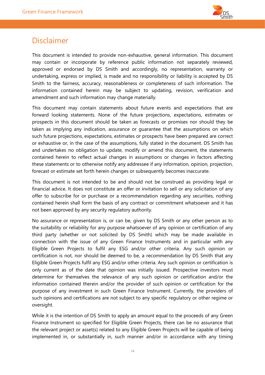

# <span id="page-13-0"></span>Disclaimer

This document is intended to provide non-exhaustive, general information. This document may contain or incorporate by reference public information not separately reviewed, approved or endorsed by DS Smith and accordingly, no representation, warranty or undertaking, express or implied, is made and no responsibility or liability is accepted by DS Smith to the fairness, accuracy, reasonableness or completeness of such information. The information contained herein may be subject to updating, revision, verification and amendment and such information may change materially.

This document may contain statements about future events and expectations that are forward looking statements. None of the future projections, expectations, estimates or prospects in this document should be taken as forecasts or promises nor should they be taken as implying any indication, assurance or guarantee that the assumptions on which such future projections, expectations, estimates or prospects have been prepared are correct or exhaustive or, in the case of the assumptions, fully stated in the document. DS Smith has and undertakes no obligation to update, modify or amend this document, the statements contained herein to reflect actual changes in assumptions or changes in factors affecting these statements or to otherwise notify any addressee if any information, opinion, projection, forecast or estimate set forth herein changes or subsequently becomes inaccurate.

This document is not intended to be and should not be construed as providing legal or financial advice. It does not constitute an offer or invitation to sell or any solicitation of any offer to subscribe for or purchase or a recommendation regarding any securities, nothing contained herein shall form the basis of any contract or commitment whatsoever and it has not been approved by any security regulatory authority.

No assurance or representation is, or can be, given by DS Smith or any other person as to the suitability or reliability for any purpose whatsoever of any opinion or certification of any third party (whether or not solicited by DS Smith) which may be made available in connection with the issue of any Green Finance Instruments and in particular with any Eligible Green Projects to fulfil any ESG and/or other criteria. Any such opinion or certification is not, nor should be deemed to be, a recommendation by DS Smith that any Eligible Green Projects fulfil any ESG and/or other criteria. Any such opinion or certification is only current as of the date that opinion was initially issued. Prospective investors must determine for themselves the relevance of any such opinion or certification and/or the information contained therein and/or the provider of such opinion or certification for the purpose of any investment in such Green Finance Instrument. Currently, the providers of such opinions and certifications are not subject to any specific regulatory or other regime or oversight.

While it is the intention of DS Smith to apply an amount equal to the proceeds of any Green Finance Instrument so specified for Eligible Green Projects, there can be no assurance that the relevant project or asset(s) related to any Eligible Green Projects will be capable of being implemented in, or substantially in, such manner and/or in accordance with any timing